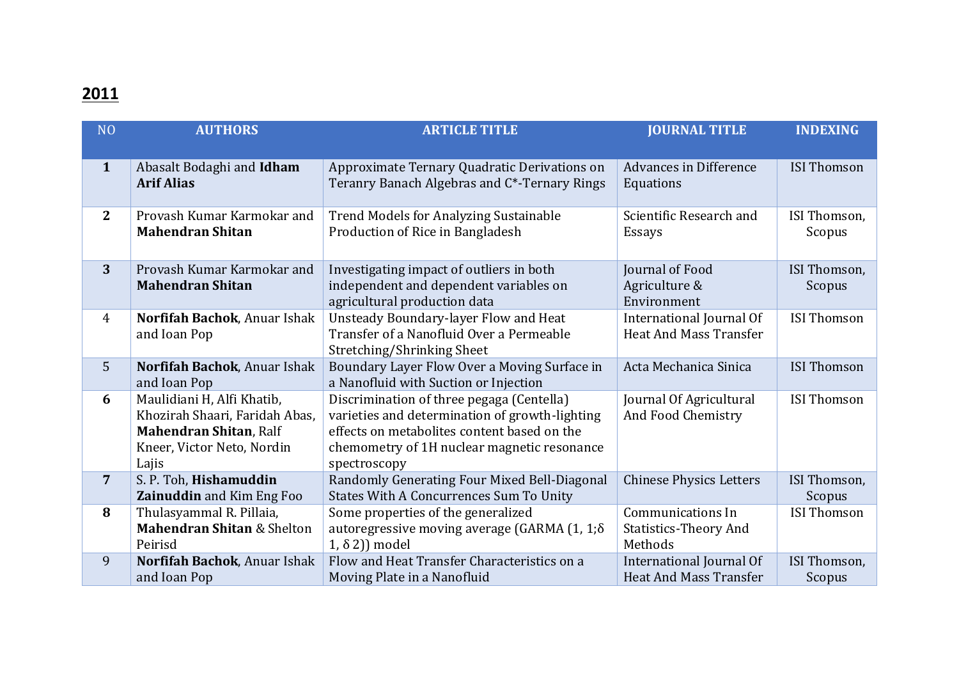## **2011**

| N <sub>O</sub> | <b>AUTHORS</b>                                                                                                                       | <b>ARTICLE TITLE</b>                                                                                                                                                                                      | <b>JOURNAL TITLE</b>                                         | <b>INDEXING</b>        |
|----------------|--------------------------------------------------------------------------------------------------------------------------------------|-----------------------------------------------------------------------------------------------------------------------------------------------------------------------------------------------------------|--------------------------------------------------------------|------------------------|
| $\mathbf{1}$   | Abasalt Bodaghi and Idham<br><b>Arif Alias</b>                                                                                       | Approximate Ternary Quadratic Derivations on<br>Teranry Banach Algebras and C*-Ternary Rings                                                                                                              | <b>Advances in Difference</b><br>Equations                   | <b>ISI Thomson</b>     |
| $\mathbf{2}$   | Provash Kumar Karmokar and<br><b>Mahendran Shitan</b>                                                                                | <b>Trend Models for Analyzing Sustainable</b><br>Production of Rice in Bangladesh                                                                                                                         | Scientific Research and<br><b>Essays</b>                     | ISI Thomson,<br>Scopus |
| 3              | Provash Kumar Karmokar and<br><b>Mahendran Shitan</b>                                                                                | Investigating impact of outliers in both<br>independent and dependent variables on<br>agricultural production data                                                                                        | Journal of Food<br>Agriculture &<br>Environment              | ISI Thomson,<br>Scopus |
| $\overline{4}$ | Norfifah Bachok, Anuar Ishak<br>and Ioan Pop                                                                                         | Unsteady Boundary-layer Flow and Heat<br>Transfer of a Nanofluid Over a Permeable<br>Stretching/Shrinking Sheet                                                                                           | International Journal Of<br><b>Heat And Mass Transfer</b>    | <b>ISI Thomson</b>     |
| 5              | Norfifah Bachok, Anuar Ishak<br>and Ioan Pop                                                                                         | Boundary Layer Flow Over a Moving Surface in<br>a Nanofluid with Suction or Injection                                                                                                                     | Acta Mechanica Sinica                                        | <b>ISI Thomson</b>     |
| 6              | Maulidiani H, Alfi Khatib,<br>Khozirah Shaari, Faridah Abas,<br><b>Mahendran Shitan, Ralf</b><br>Kneer, Victor Neto, Nordin<br>Lajis | Discrimination of three pegaga (Centella)<br>varieties and determination of growth-lighting<br>effects on metabolites content based on the<br>chemometry of 1H nuclear magnetic resonance<br>spectroscopy | Journal Of Agricultural<br>And Food Chemistry                | <b>ISI Thomson</b>     |
| $\overline{7}$ | S. P. Toh, Hishamuddin<br>Zainuddin and Kim Eng Foo                                                                                  | Randomly Generating Four Mixed Bell-Diagonal<br><b>States With A Concurrences Sum To Unity</b>                                                                                                            | <b>Chinese Physics Letters</b>                               | ISI Thomson,<br>Scopus |
| 8              | Thulasyammal R. Pillaia,<br><b>Mahendran Shitan &amp; Shelton</b><br>Peirisd                                                         | Some properties of the generalized<br>autoregressive moving average (GARMA $(1, 1, \delta)$<br>$1, \delta 2)$ ) model                                                                                     | Communications In<br><b>Statistics-Theory And</b><br>Methods | <b>ISI Thomson</b>     |
| 9              | Norfifah Bachok, Anuar Ishak<br>and Ioan Pop                                                                                         | Flow and Heat Transfer Characteristics on a<br>Moving Plate in a Nanofluid                                                                                                                                | International Journal Of<br><b>Heat And Mass Transfer</b>    | ISI Thomson,<br>Scopus |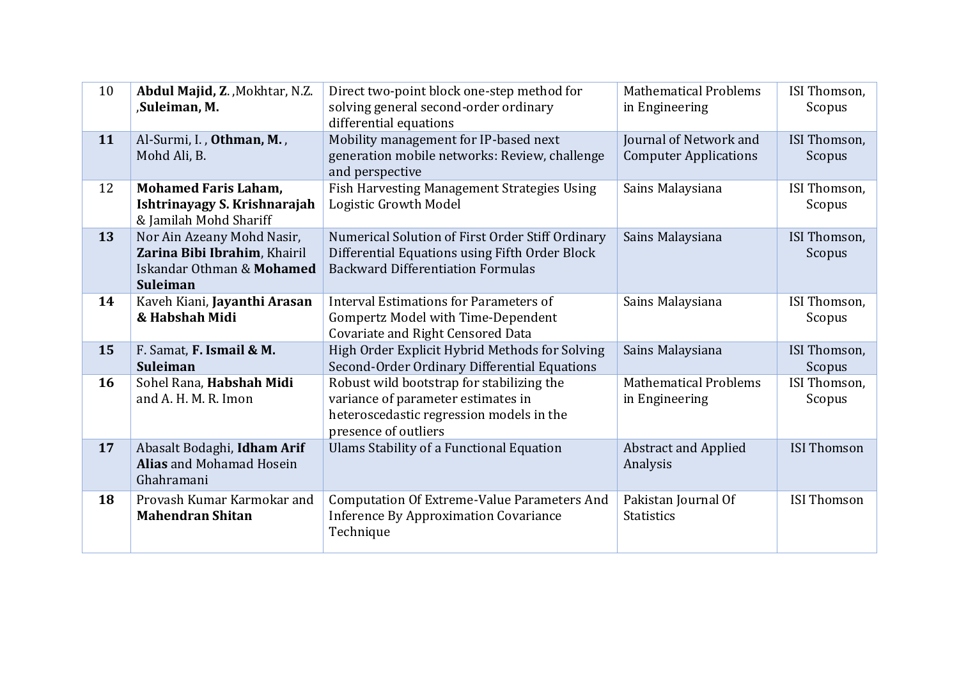| 10 | Abdul Majid, Z., Mokhtar, N.Z.<br>,Suleiman, M.                                                     | Direct two-point block one-step method for<br>solving general second-order ordinary<br>differential equations                                       | <b>Mathematical Problems</b><br>in Engineering         | ISI Thomson,<br>Scopus |
|----|-----------------------------------------------------------------------------------------------------|-----------------------------------------------------------------------------------------------------------------------------------------------------|--------------------------------------------------------|------------------------|
| 11 | Al-Surmi, I., Othman, M.,<br>Mohd Ali, B.                                                           | Mobility management for IP-based next<br>generation mobile networks: Review, challenge<br>and perspective                                           | Journal of Network and<br><b>Computer Applications</b> | ISI Thomson,<br>Scopus |
| 12 | <b>Mohamed Faris Laham,</b><br>Ishtrinayagy S. Krishnarajah<br>& Jamilah Mohd Shariff               | Fish Harvesting Management Strategies Using<br>Logistic Growth Model                                                                                | Sains Malaysiana                                       | ISI Thomson,<br>Scopus |
| 13 | Nor Ain Azeany Mohd Nasir,<br>Zarina Bibi Ibrahim, Khairil<br>Iskandar Othman & Mohamed<br>Suleiman | Numerical Solution of First Order Stiff Ordinary<br>Differential Equations using Fifth Order Block<br><b>Backward Differentiation Formulas</b>      | Sains Malaysiana                                       | ISI Thomson,<br>Scopus |
| 14 | Kaveh Kiani, Jayanthi Arasan<br>& Habshah Midi                                                      | Interval Estimations for Parameters of<br>Gompertz Model with Time-Dependent<br>Covariate and Right Censored Data                                   | Sains Malaysiana                                       | ISI Thomson,<br>Scopus |
| 15 | F. Samat, F. Ismail & M.<br><b>Suleiman</b>                                                         | High Order Explicit Hybrid Methods for Solving<br>Second-Order Ordinary Differential Equations                                                      | Sains Malaysiana                                       | ISI Thomson,<br>Scopus |
| 16 | Sohel Rana, Habshah Midi<br>and A. H. M. R. Imon                                                    | Robust wild bootstrap for stabilizing the<br>variance of parameter estimates in<br>heteroscedastic regression models in the<br>presence of outliers | <b>Mathematical Problems</b><br>in Engineering         | ISI Thomson,<br>Scopus |
| 17 | Abasalt Bodaghi, Idham Arif<br><b>Alias and Mohamad Hosein</b><br>Ghahramani                        | Ulams Stability of a Functional Equation                                                                                                            | <b>Abstract and Applied</b><br>Analysis                | <b>ISI Thomson</b>     |
| 18 | Provash Kumar Karmokar and<br><b>Mahendran Shitan</b>                                               | <b>Computation Of Extreme-Value Parameters And</b><br><b>Inference By Approximation Covariance</b><br>Technique                                     | Pakistan Journal Of<br><b>Statistics</b>               | <b>ISI Thomson</b>     |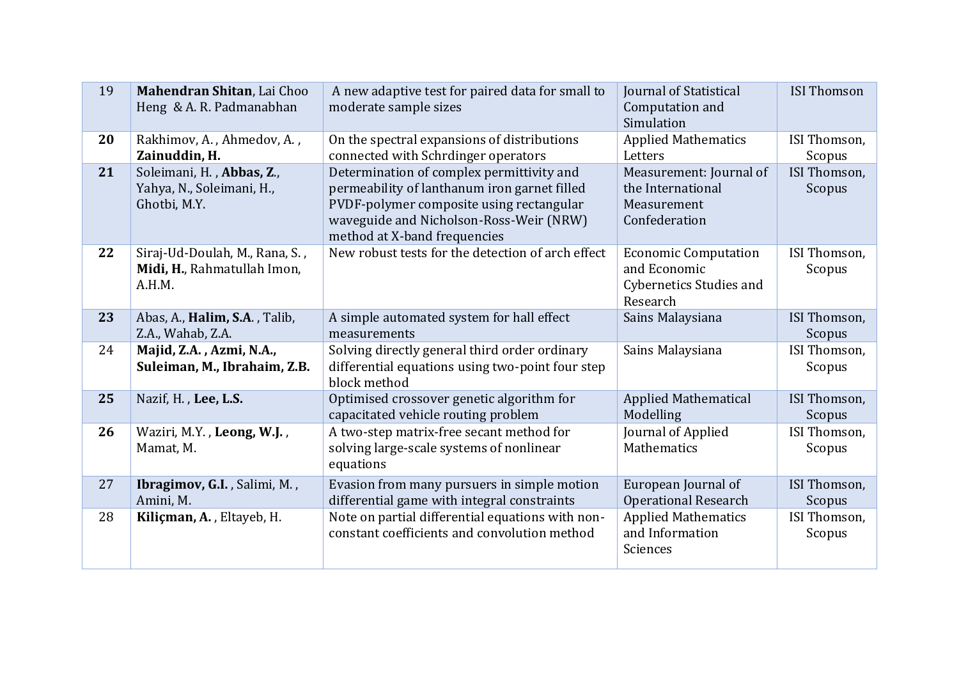| 19 | Mahendran Shitan, Lai Choo<br>Heng & A. R. Padmanabhan                  | A new adaptive test for paired data for small to<br>moderate sample sizes                                                                                                                                        | <b>Journal of Statistical</b><br>Computation and<br>Simulation                            | <b>ISI Thomson</b>     |
|----|-------------------------------------------------------------------------|------------------------------------------------------------------------------------------------------------------------------------------------------------------------------------------------------------------|-------------------------------------------------------------------------------------------|------------------------|
| 20 | Rakhimov, A., Ahmedov, A.,<br>Zainuddin, H.                             | On the spectral expansions of distributions<br>connected with Schrdinger operators                                                                                                                               | <b>Applied Mathematics</b><br>Letters                                                     | ISI Thomson,<br>Scopus |
| 21 | Soleimani, H., Abbas, Z.,<br>Yahya, N., Soleimani, H.,<br>Ghotbi, M.Y.  | Determination of complex permittivity and<br>permeability of lanthanum iron garnet filled<br>PVDF-polymer composite using rectangular<br>waveguide and Nicholson-Ross-Weir (NRW)<br>method at X-band frequencies | Measurement: Journal of<br>the International<br>Measurement<br>Confederation              | ISI Thomson,<br>Scopus |
| 22 | Siraj-Ud-Doulah, M., Rana, S.,<br>Midi, H., Rahmatullah Imon,<br>A.H.M. | New robust tests for the detection of arch effect                                                                                                                                                                | <b>Economic Computation</b><br>and Economic<br><b>Cybernetics Studies and</b><br>Research | ISI Thomson,<br>Scopus |
| 23 | Abas, A., Halim, S.A., Talib,<br>Z.A., Wahab, Z.A.                      | A simple automated system for hall effect<br>measurements                                                                                                                                                        | Sains Malaysiana                                                                          | ISI Thomson,<br>Scopus |
| 24 | Majid, Z.A., Azmi, N.A.,<br>Suleiman, M., Ibrahaim, Z.B.                | Solving directly general third order ordinary<br>differential equations using two-point four step<br>block method                                                                                                | Sains Malaysiana                                                                          | ISI Thomson,<br>Scopus |
| 25 | Nazif, H., Lee, L.S.                                                    | Optimised crossover genetic algorithm for<br>capacitated vehicle routing problem                                                                                                                                 | <b>Applied Mathematical</b><br>Modelling                                                  | ISI Thomson,<br>Scopus |
| 26 | Waziri, M.Y., Leong, W.J.,<br>Mamat, M.                                 | A two-step matrix-free secant method for<br>solving large-scale systems of nonlinear<br>equations                                                                                                                | Journal of Applied<br>Mathematics                                                         | ISI Thomson,<br>Scopus |
| 27 | Ibragimov, G.I., Salimi, M.,<br>Amini, M.                               | Evasion from many pursuers in simple motion<br>differential game with integral constraints                                                                                                                       | European Journal of<br><b>Operational Research</b>                                        | ISI Thomson,<br>Scopus |
| 28 | Kiliçman, A., Eltayeb, H.                                               | Note on partial differential equations with non-<br>constant coefficients and convolution method                                                                                                                 | <b>Applied Mathematics</b><br>and Information<br>Sciences                                 | ISI Thomson,<br>Scopus |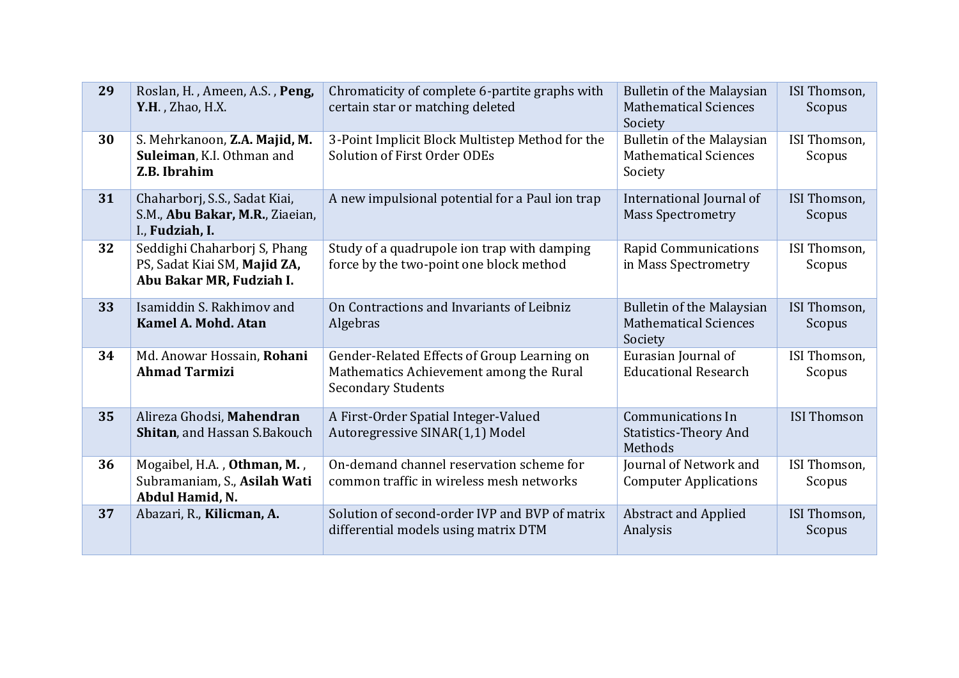| 29 | Roslan, H., Ameen, A.S., Peng,<br>Y.H., Zhao, H.X.                                       | Chromaticity of complete 6-partite graphs with<br>certain star or matching deleted                                  | <b>Bulletin of the Malaysian</b><br><b>Mathematical Sciences</b><br>Society | ISI Thomson,<br>Scopus |
|----|------------------------------------------------------------------------------------------|---------------------------------------------------------------------------------------------------------------------|-----------------------------------------------------------------------------|------------------------|
| 30 | S. Mehrkanoon, Z.A. Majid, M.<br>Suleiman, K.I. Othman and<br>Z.B. Ibrahim               | 3-Point Implicit Block Multistep Method for the<br>Solution of First Order ODEs                                     | Bulletin of the Malaysian<br><b>Mathematical Sciences</b><br>Society        | ISI Thomson,<br>Scopus |
| 31 | Chaharborj, S.S., Sadat Kiai,<br>S.M., Abu Bakar, M.R., Ziaeian,<br>I., Fudziah, I.      | A new impulsional potential for a Paul ion trap                                                                     | International Journal of<br><b>Mass Spectrometry</b>                        | ISI Thomson,<br>Scopus |
| 32 | Seddighi Chaharborj S, Phang<br>PS, Sadat Kiai SM, Majid ZA,<br>Abu Bakar MR, Fudziah I. | Study of a quadrupole ion trap with damping<br>force by the two-point one block method                              | <b>Rapid Communications</b><br>in Mass Spectrometry                         | ISI Thomson,<br>Scopus |
| 33 | Isamiddin S. Rakhimov and<br>Kamel A. Mohd. Atan                                         | On Contractions and Invariants of Leibniz<br>Algebras                                                               | <b>Bulletin of the Malaysian</b><br><b>Mathematical Sciences</b><br>Society | ISI Thomson,<br>Scopus |
| 34 | Md. Anowar Hossain, Rohani<br><b>Ahmad Tarmizi</b>                                       | Gender-Related Effects of Group Learning on<br>Mathematics Achievement among the Rural<br><b>Secondary Students</b> | Eurasian Journal of<br><b>Educational Research</b>                          | ISI Thomson,<br>Scopus |
| 35 | Alireza Ghodsi, Mahendran<br>Shitan, and Hassan S.Bakouch                                | A First-Order Spatial Integer-Valued<br>Autoregressive SINAR(1,1) Model                                             | <b>Communications In</b><br><b>Statistics-Theory And</b><br>Methods         | <b>ISI Thomson</b>     |
| 36 | Mogaibel, H.A., Othman, M.,<br>Subramaniam, S., Asilah Wati<br>Abdul Hamid, N.           | On-demand channel reservation scheme for<br>common traffic in wireless mesh networks                                | Journal of Network and<br><b>Computer Applications</b>                      | ISI Thomson,<br>Scopus |
| 37 | Abazari, R., Kilicman, A.                                                                | Solution of second-order IVP and BVP of matrix<br>differential models using matrix DTM                              | <b>Abstract and Applied</b><br>Analysis                                     | ISI Thomson,<br>Scopus |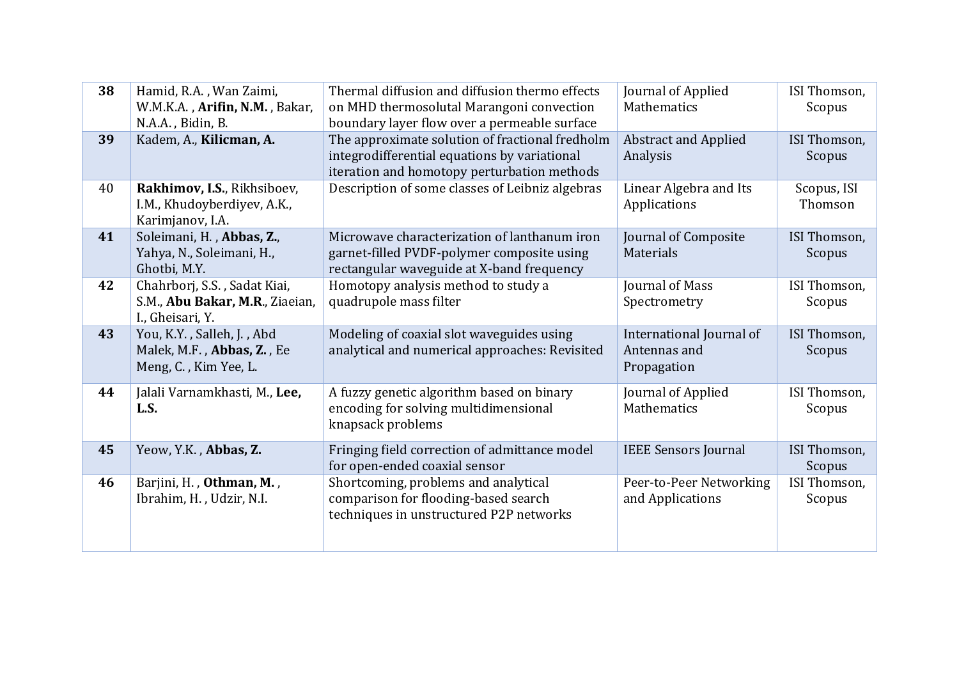| 38 | Hamid, R.A., Wan Zaimi,<br>W.M.K.A., Arifin, N.M., Bakar,<br>N.A.A., Bidin, B.      | Thermal diffusion and diffusion thermo effects<br>on MHD thermosolutal Marangoni convection<br>boundary layer flow over a permeable surface    | Journal of Applied<br>Mathematics                       | ISI Thomson,<br>Scopus |
|----|-------------------------------------------------------------------------------------|------------------------------------------------------------------------------------------------------------------------------------------------|---------------------------------------------------------|------------------------|
| 39 | Kadem, A., Kilicman, A.                                                             | The approximate solution of fractional fredholm<br>integrodifferential equations by variational<br>iteration and homotopy perturbation methods | <b>Abstract and Applied</b><br>Analysis                 | ISI Thomson,<br>Scopus |
| 40 | Rakhimov, I.S., Rikhsiboev,<br>I.M., Khudoyberdiyev, A.K.,<br>Karimjanov, I.A.      | Description of some classes of Leibniz algebras                                                                                                | Linear Algebra and Its<br>Applications                  | Scopus, ISI<br>Thomson |
| 41 | Soleimani, H., Abbas, Z.,<br>Yahya, N., Soleimani, H.,<br>Ghotbi, M.Y.              | Microwave characterization of lanthanum iron<br>garnet-filled PVDF-polymer composite using<br>rectangular waveguide at X-band frequency        | Journal of Composite<br>Materials                       | ISI Thomson,<br>Scopus |
| 42 | Chahrborj, S.S., Sadat Kiai,<br>S.M., Abu Bakar, M.R., Ziaeian,<br>I., Gheisari, Y. | Homotopy analysis method to study a<br>quadrupole mass filter                                                                                  | Journal of Mass<br>Spectrometry                         | ISI Thomson,<br>Scopus |
| 43 | You, K.Y., Salleh, J., Abd<br>Malek, M.F., Abbas, Z., Ee<br>Meng, C., Kim Yee, L.   | Modeling of coaxial slot waveguides using<br>analytical and numerical approaches: Revisited                                                    | International Journal of<br>Antennas and<br>Propagation | ISI Thomson,<br>Scopus |
| 44 | Jalali Varnamkhasti, M., Lee,<br>L.S.                                               | A fuzzy genetic algorithm based on binary<br>encoding for solving multidimensional<br>knapsack problems                                        | Journal of Applied<br>Mathematics                       | ISI Thomson,<br>Scopus |
| 45 | Yeow, Y.K., Abbas, Z.                                                               | Fringing field correction of admittance model<br>for open-ended coaxial sensor                                                                 | <b>IEEE Sensors Journal</b>                             | ISI Thomson,<br>Scopus |
| 46 | Barjini, H., Othman, M.,<br>Ibrahim, H., Udzir, N.I.                                | Shortcoming, problems and analytical<br>comparison for flooding-based search<br>techniques in unstructured P2P networks                        | Peer-to-Peer Networking<br>and Applications             | ISI Thomson,<br>Scopus |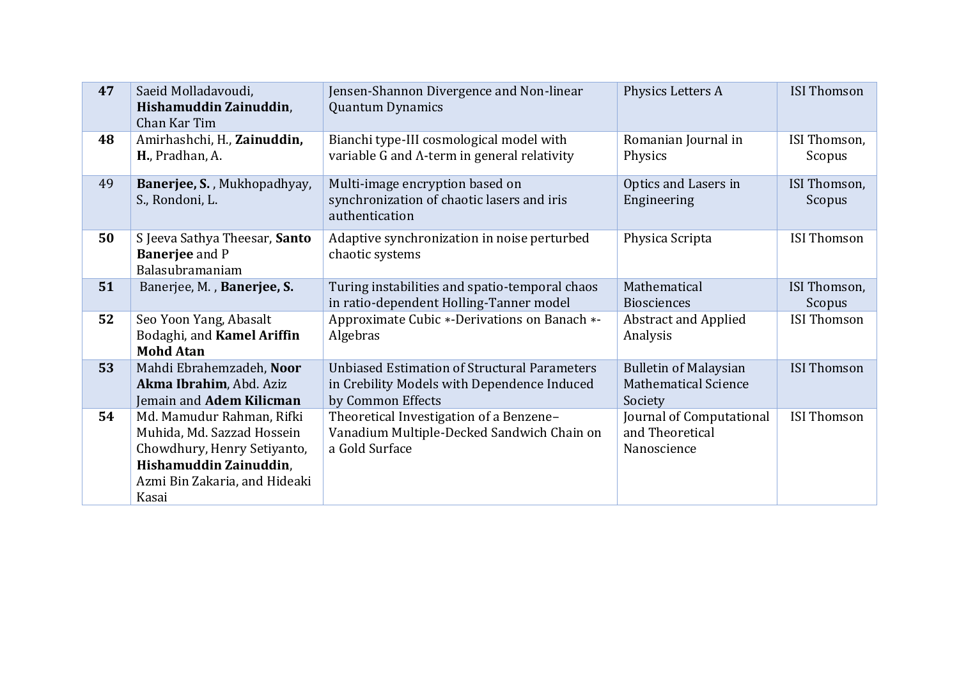| 47 | Saeid Molladavoudi,<br>Hishamuddin Zainuddin,<br>Chan Kar Tim                                                                                              | Jensen-Shannon Divergence and Non-linear<br><b>Quantum Dynamics</b>                                                     | Physics Letters A                                                      | <b>ISI Thomson</b>     |
|----|------------------------------------------------------------------------------------------------------------------------------------------------------------|-------------------------------------------------------------------------------------------------------------------------|------------------------------------------------------------------------|------------------------|
| 48 | Amirhashchi, H., Zainuddin,<br>H., Pradhan, A.                                                                                                             | Bianchi type-III cosmological model with<br>variable G and Λ-term in general relativity                                 | Romanian Journal in<br>Physics                                         | ISI Thomson,<br>Scopus |
| 49 | Banerjee, S., Mukhopadhyay,<br>S., Rondoni, L.                                                                                                             | Multi-image encryption based on<br>synchronization of chaotic lasers and iris<br>authentication                         | Optics and Lasers in<br>Engineering                                    | ISI Thomson,<br>Scopus |
| 50 | S Jeeva Sathya Theesar, Santo<br><b>Banerjee</b> and P<br>Balasubramaniam                                                                                  | Adaptive synchronization in noise perturbed<br>chaotic systems                                                          | Physica Scripta                                                        | <b>ISI Thomson</b>     |
| 51 | Banerjee, M., Banerjee, S.                                                                                                                                 | Turing instabilities and spatio-temporal chaos<br>in ratio-dependent Holling-Tanner model                               | Mathematical<br><b>Biosciences</b>                                     | ISI Thomson,<br>Scopus |
| 52 | Seo Yoon Yang, Abasalt<br>Bodaghi, and Kamel Ariffin<br><b>Mohd Atan</b>                                                                                   | Approximate Cubic *-Derivations on Banach *-<br>Algebras                                                                | <b>Abstract and Applied</b><br>Analysis                                | <b>ISI Thomson</b>     |
| 53 | Mahdi Ebrahemzadeh, Noor<br>Akma Ibrahim, Abd. Aziz<br>Jemain and Adem Kilicman                                                                            | <b>Unbiased Estimation of Structural Parameters</b><br>in Crebility Models with Dependence Induced<br>by Common Effects | <b>Bulletin of Malaysian</b><br><b>Mathematical Science</b><br>Society | <b>ISI Thomson</b>     |
| 54 | Md. Mamudur Rahman, Rifki<br>Muhida, Md. Sazzad Hossein<br>Chowdhury, Henry Setiyanto,<br>Hishamuddin Zainuddin,<br>Azmi Bin Zakaria, and Hideaki<br>Kasai | Theoretical Investigation of a Benzene-<br>Vanadium Multiple-Decked Sandwich Chain on<br>a Gold Surface                 | Journal of Computational<br>and Theoretical<br>Nanoscience             | <b>ISI Thomson</b>     |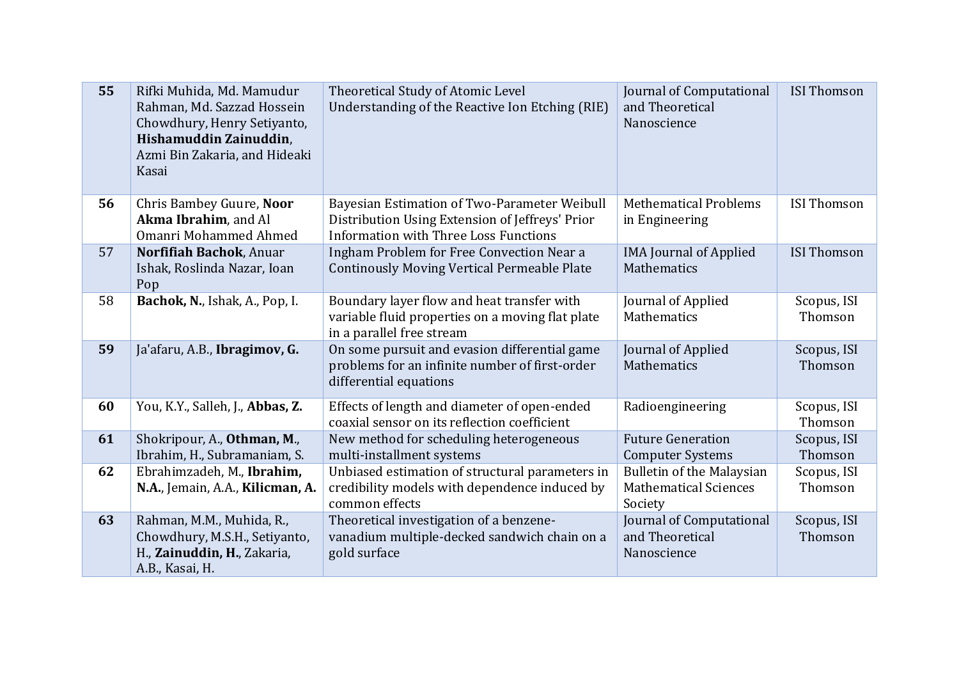| 55 | Rifki Muhida, Md. Mamudur<br>Rahman, Md. Sazzad Hossein<br>Chowdhury, Henry Setiyanto,<br>Hishamuddin Zainuddin,<br>Azmi Bin Zakaria, and Hideaki<br>Kasai | Theoretical Study of Atomic Level<br>Understanding of the Reactive Ion Etching (RIE)                                                            | Journal of Computational<br>and Theoretical<br>Nanoscience                  | <b>ISI Thomson</b>     |
|----|------------------------------------------------------------------------------------------------------------------------------------------------------------|-------------------------------------------------------------------------------------------------------------------------------------------------|-----------------------------------------------------------------------------|------------------------|
| 56 | Chris Bambey Guure, Noor<br>Akma Ibrahim, and Al<br><b>Omanri Mohammed Ahmed</b>                                                                           | Bayesian Estimation of Two-Parameter Weibull<br>Distribution Using Extension of Jeffreys' Prior<br><b>Information with Three Loss Functions</b> | <b>Methematical Problems</b><br>in Engineering                              | <b>ISI Thomson</b>     |
| 57 | Norfifiah Bachok, Anuar<br>Ishak, Roslinda Nazar, Ioan<br>Pop                                                                                              | Ingham Problem for Free Convection Near a<br><b>Continously Moving Vertical Permeable Plate</b>                                                 | <b>IMA Journal of Applied</b><br>Mathematics                                | <b>ISI Thomson</b>     |
| 58 | Bachok, N., Ishak, A., Pop, I.                                                                                                                             | Boundary layer flow and heat transfer with<br>variable fluid properties on a moving flat plate<br>in a parallel free stream                     | Journal of Applied<br>Mathematics                                           | Scopus, ISI<br>Thomson |
| 59 | Ja'afaru, A.B., Ibragimov, G.                                                                                                                              | On some pursuit and evasion differential game<br>problems for an infinite number of first-order<br>differential equations                       | Journal of Applied<br>Mathematics                                           | Scopus, ISI<br>Thomson |
| 60 | You, K.Y., Salleh, J., Abbas, Z.                                                                                                                           | Effects of length and diameter of open-ended<br>coaxial sensor on its reflection coefficient                                                    | Radioengineering                                                            | Scopus, ISI<br>Thomson |
| 61 | Shokripour, A., Othman, M.,<br>Ibrahim, H., Subramaniam, S.                                                                                                | New method for scheduling heterogeneous<br>multi-installment systems                                                                            | <b>Future Generation</b><br><b>Computer Systems</b>                         | Scopus, ISI<br>Thomson |
| 62 | Ebrahimzadeh, M., Ibrahim,<br>N.A., Jemain, A.A., Kilicman, A.                                                                                             | Unbiased estimation of structural parameters in<br>credibility models with dependence induced by<br>common effects                              | <b>Bulletin of the Malaysian</b><br><b>Mathematical Sciences</b><br>Society | Scopus, ISI<br>Thomson |
| 63 | Rahman, M.M., Muhida, R.,<br>Chowdhury, M.S.H., Setiyanto,<br>H., Zainuddin, H., Zakaria,<br>A.B., Kasai, H.                                               | Theoretical investigation of a benzene-<br>vanadium multiple-decked sandwich chain on a<br>gold surface                                         | Journal of Computational<br>and Theoretical<br>Nanoscience                  | Scopus, ISI<br>Thomson |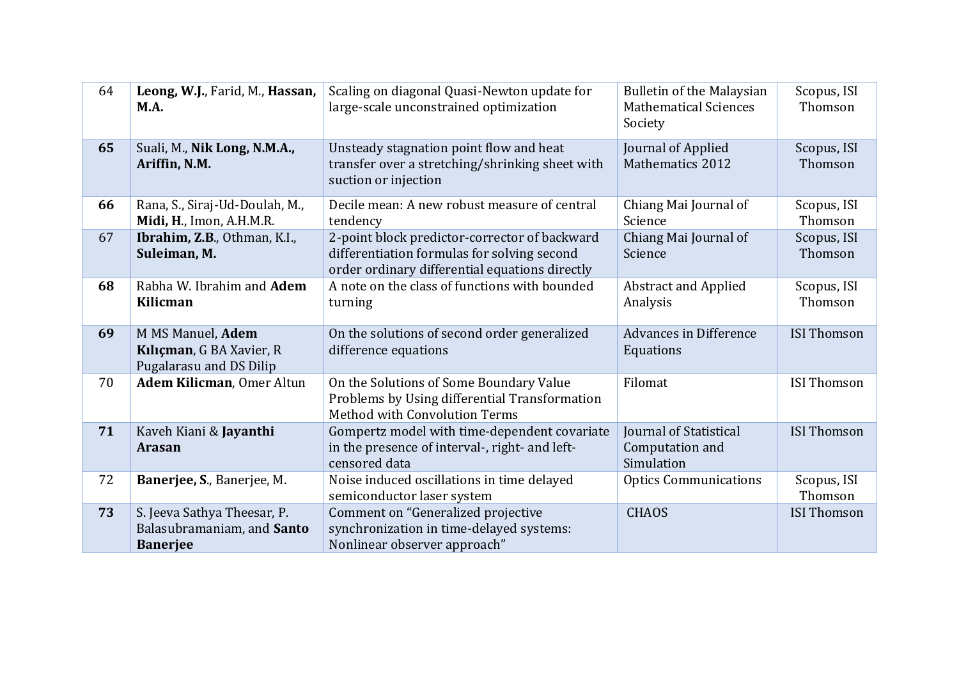| 64 | Leong, W.J., Farid, M., Hassan,<br><b>M.A.</b>                               | Scaling on diagonal Quasi-Newton update for<br>large-scale unconstrained optimization                                                          | <b>Bulletin of the Malaysian</b><br><b>Mathematical Sciences</b><br>Society | Scopus, ISI<br>Thomson |
|----|------------------------------------------------------------------------------|------------------------------------------------------------------------------------------------------------------------------------------------|-----------------------------------------------------------------------------|------------------------|
| 65 | Suali, M., Nik Long, N.M.A.,<br>Ariffin, N.M.                                | Unsteady stagnation point flow and heat<br>transfer over a stretching/shrinking sheet with<br>suction or injection                             | Journal of Applied<br><b>Mathematics 2012</b>                               | Scopus, ISI<br>Thomson |
| 66 | Rana, S., Siraj-Ud-Doulah, M.,<br>Midi, H., Imon, A.H.M.R.                   | Decile mean: A new robust measure of central<br>tendency                                                                                       | Chiang Mai Journal of<br>Science                                            | Scopus, ISI<br>Thomson |
| 67 | Ibrahim, Z.B., Othman, K.I.,<br>Suleiman, M.                                 | 2-point block predictor-corrector of backward<br>differentiation formulas for solving second<br>order ordinary differential equations directly | Chiang Mai Journal of<br>Science                                            | Scopus, ISI<br>Thomson |
| 68 | Rabha W. Ibrahim and Adem<br>Kilicman                                        | A note on the class of functions with bounded<br>turning                                                                                       | <b>Abstract and Applied</b><br>Analysis                                     | Scopus, ISI<br>Thomson |
| 69 | M MS Manuel, Adem<br>Kılıçman, G BA Xavier, R<br>Pugalarasu and DS Dilip     | On the solutions of second order generalized<br>difference equations                                                                           | Advances in Difference<br>Equations                                         | <b>ISI Thomson</b>     |
| 70 | Adem Kilicman, Omer Altun                                                    | On the Solutions of Some Boundary Value<br>Problems by Using differential Transformation<br>Method with Convolution Terms                      | Filomat                                                                     | <b>ISI Thomson</b>     |
| 71 | Kaveh Kiani & Jayanthi<br><b>Arasan</b>                                      | Gompertz model with time-dependent covariate<br>in the presence of interval-, right- and left-<br>censored data                                | <b>Journal of Statistical</b><br>Computation and<br>Simulation              | <b>ISI Thomson</b>     |
| 72 | Banerjee, S., Banerjee, M.                                                   | Noise induced oscillations in time delayed<br>semiconductor laser system                                                                       | <b>Optics Communications</b>                                                | Scopus, ISI<br>Thomson |
| 73 | S. Jeeva Sathya Theesar, P.<br>Balasubramaniam, and Santo<br><b>Banerjee</b> | Comment on "Generalized projective<br>synchronization in time-delayed systems:<br>Nonlinear observer approach"                                 | <b>CHAOS</b>                                                                | <b>ISI Thomson</b>     |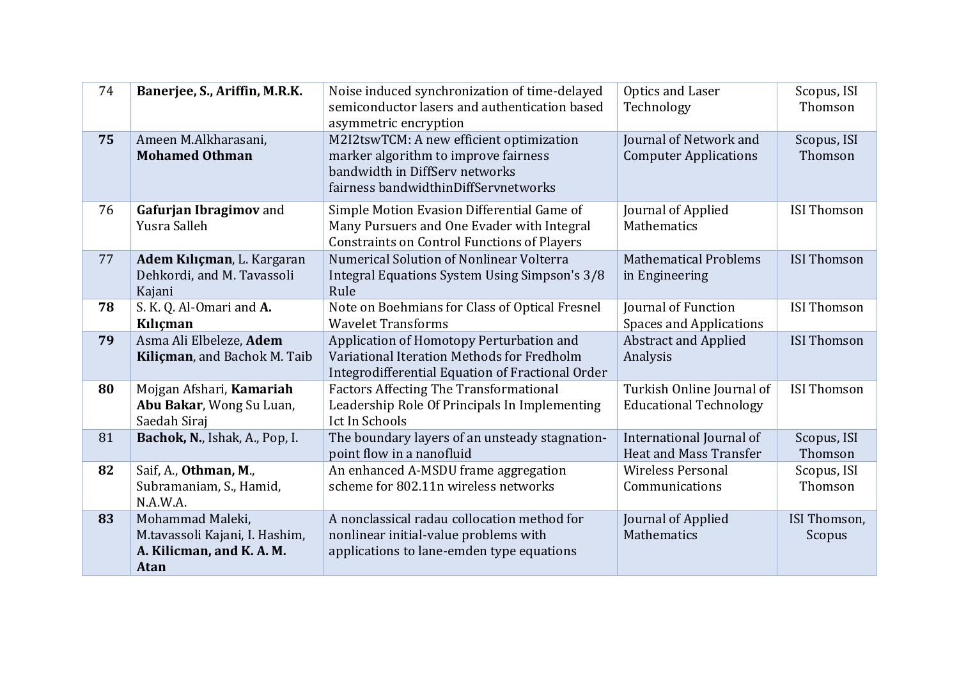| 74 | Banerjee, S., Ariffin, M.R.K.                                                                  | Noise induced synchronization of time-delayed<br>semiconductor lasers and authentication based<br>asymmetric encryption                                    | Optics and Laser<br>Technology                             | Scopus, ISI<br>Thomson |
|----|------------------------------------------------------------------------------------------------|------------------------------------------------------------------------------------------------------------------------------------------------------------|------------------------------------------------------------|------------------------|
| 75 | Ameen M.Alkharasani,<br><b>Mohamed Othman</b>                                                  | M2I2tswTCM: A new efficient optimization<br>marker algorithm to improve fairness<br>bandwidth in DiffServ networks<br>fairness bandwidthinDiffServnetworks | Journal of Network and<br><b>Computer Applications</b>     | Scopus, ISI<br>Thomson |
| 76 | Gafurjan Ibragimov and<br>Yusra Salleh                                                         | Simple Motion Evasion Differential Game of<br>Many Pursuers and One Evader with Integral<br><b>Constraints on Control Functions of Players</b>             | Journal of Applied<br>Mathematics                          | <b>ISI Thomson</b>     |
| 77 | Adem Kılıçman, L. Kargaran<br>Dehkordi, and M. Tavassoli<br>Kajani                             | Numerical Solution of Nonlinear Volterra<br>Integral Equations System Using Simpson's 3/8<br>Rule                                                          | <b>Mathematical Problems</b><br>in Engineering             | <b>ISI Thomson</b>     |
| 78 | S. K. Q. Al-Omari and A.<br>Kılıçman                                                           | Note on Boehmians for Class of Optical Fresnel<br><b>Wavelet Transforms</b>                                                                                | Journal of Function<br><b>Spaces and Applications</b>      | <b>ISI Thomson</b>     |
| 79 | Asma Ali Elbeleze, Adem<br>Kiliçman, and Bachok M. Taib                                        | Application of Homotopy Perturbation and<br>Variational Iteration Methods for Fredholm<br>Integrodifferential Equation of Fractional Order                 | <b>Abstract and Applied</b><br>Analysis                    | <b>ISI Thomson</b>     |
| 80 | Mojgan Afshari, Kamariah<br>Abu Bakar, Wong Su Luan,<br>Saedah Siraj                           | <b>Factors Affecting The Transformational</b><br>Leadership Role Of Principals In Implementing<br>Ict In Schools                                           | Turkish Online Journal of<br><b>Educational Technology</b> | <b>ISI Thomson</b>     |
| 81 | Bachok, N., Ishak, A., Pop, I.                                                                 | The boundary layers of an unsteady stagnation-<br>point flow in a nanofluid                                                                                | International Journal of<br><b>Heat and Mass Transfer</b>  | Scopus, ISI<br>Thomson |
| 82 | Saif, A., Othman, M.,<br>Subramaniam, S., Hamid,<br>N.A.W.A.                                   | An enhanced A-MSDU frame aggregation<br>scheme for 802.11n wireless networks                                                                               | <b>Wireless Personal</b><br>Communications                 | Scopus, ISI<br>Thomson |
| 83 | Mohammad Maleki,<br>M.tavassoli Kajani, I. Hashim,<br>A. Kilicman, and K. A. M.<br><b>Atan</b> | A nonclassical radau collocation method for<br>nonlinear initial-value problems with<br>applications to lane-emden type equations                          | Journal of Applied<br>Mathematics                          | ISI Thomson,<br>Scopus |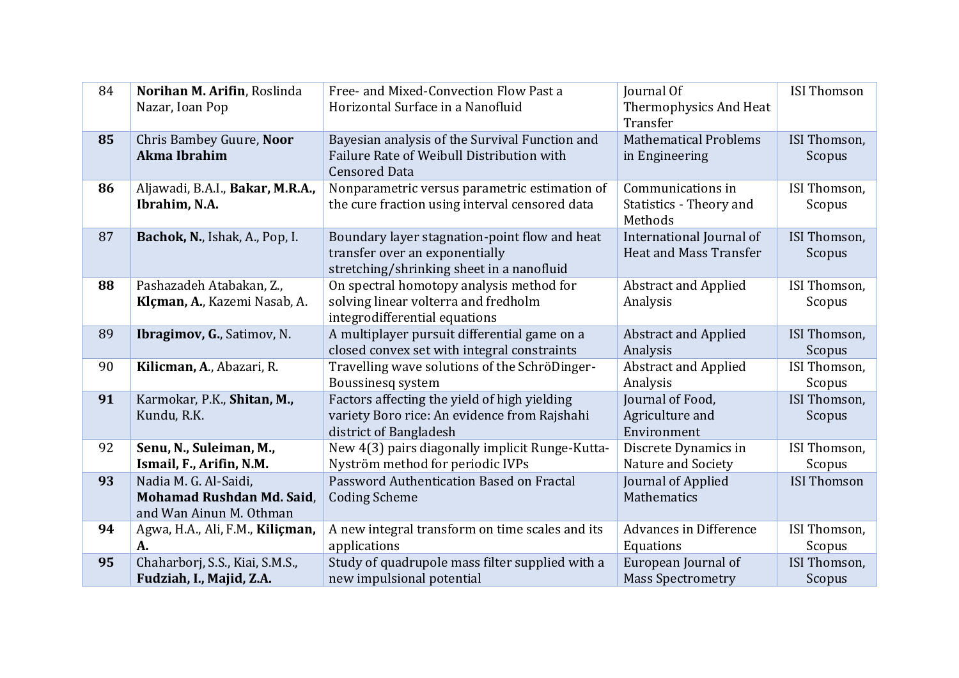| 84 | Norihan M. Arifin, Roslinda<br>Nazar, Ioan Pop                                | Free- and Mixed-Convection Flow Past a<br>Horizontal Surface in a Nanofluid                                                  | Journal Of<br>Thermophysics And Heat<br>Transfer          | <b>ISI Thomson</b>     |
|----|-------------------------------------------------------------------------------|------------------------------------------------------------------------------------------------------------------------------|-----------------------------------------------------------|------------------------|
| 85 | Chris Bambey Guure, Noor<br><b>Akma Ibrahim</b>                               | Bayesian analysis of the Survival Function and<br>Failure Rate of Weibull Distribution with<br><b>Censored Data</b>          | <b>Mathematical Problems</b><br>in Engineering            | ISI Thomson,<br>Scopus |
| 86 | Aljawadi, B.A.I., Bakar, M.R.A.,<br>Ibrahim, N.A.                             | Nonparametric versus parametric estimation of<br>the cure fraction using interval censored data                              | Communications in<br>Statistics - Theory and<br>Methods   | ISI Thomson,<br>Scopus |
| 87 | Bachok, N., Ishak, A., Pop, I.                                                | Boundary layer stagnation-point flow and heat<br>transfer over an exponentially<br>stretching/shrinking sheet in a nanofluid | International Journal of<br><b>Heat and Mass Transfer</b> | ISI Thomson,<br>Scopus |
| 88 | Pashazadeh Atabakan, Z.,<br>Klçman, A., Kazemi Nasab, A.                      | On spectral homotopy analysis method for<br>solving linear volterra and fredholm<br>integrodifferential equations            | <b>Abstract and Applied</b><br>Analysis                   | ISI Thomson,<br>Scopus |
| 89 | Ibragimov, G., Satimov, N.                                                    | A multiplayer pursuit differential game on a<br>closed convex set with integral constraints                                  | <b>Abstract and Applied</b><br>Analysis                   | ISI Thomson,<br>Scopus |
| 90 | Kilicman, A., Abazari, R.                                                     | Travelling wave solutions of the SchröDinger-<br>Boussinesq system                                                           | <b>Abstract and Applied</b><br>Analysis                   | ISI Thomson,<br>Scopus |
| 91 | Karmokar, P.K., Shitan, M.,<br>Kundu, R.K.                                    | Factors affecting the yield of high yielding<br>variety Boro rice: An evidence from Rajshahi<br>district of Bangladesh       | Journal of Food,<br>Agriculture and<br>Environment        | ISI Thomson,<br>Scopus |
| 92 | Senu, N., Suleiman, M.,<br>Ismail, F., Arifin, N.M.                           | New 4(3) pairs diagonally implicit Runge-Kutta-<br>Nyström method for periodic IVPs                                          | Discrete Dynamics in<br>Nature and Society                | ISI Thomson,<br>Scopus |
| 93 | Nadia M. G. Al-Saidi,<br>Mohamad Rushdan Md. Said,<br>and Wan Ainun M. Othman | Password Authentication Based on Fractal<br><b>Coding Scheme</b>                                                             | Journal of Applied<br>Mathematics                         | <b>ISI Thomson</b>     |
| 94 | Agwa, H.A., Ali, F.M., Kiliçman,<br>A.                                        | A new integral transform on time scales and its<br>applications                                                              | <b>Advances in Difference</b><br>Equations                | ISI Thomson,<br>Scopus |
| 95 | Chaharborj, S.S., Kiai, S.M.S.,<br>Fudziah, I., Majid, Z.A.                   | Study of quadrupole mass filter supplied with a<br>new impulsional potential                                                 | European Journal of<br><b>Mass Spectrometry</b>           | ISI Thomson,<br>Scopus |